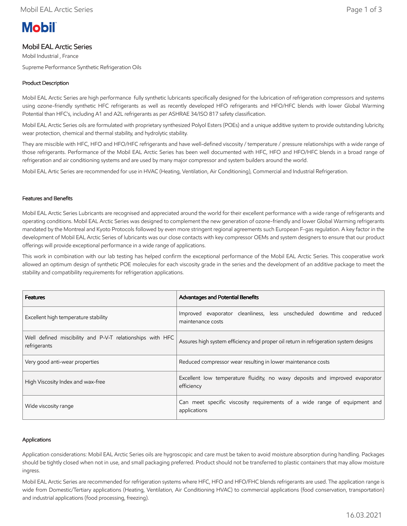# **Mobil**

# Mobil EAL Arctic Series

Mobil Industrial , France Supreme Performance Synthetic Refrigeration Oils

# Product Description

Mobil EAL Arctic Series are high performance fully synthetic lubricants specifically designed for the lubrication of refrigeration compressors and systems using ozone-friendly synthetic HFC refrigerants as well as recently developed HFO refrigerants and HFO/HFC blends with lower Global Warming Potential than HFC's, including A1 and A2L refrigerants as per ASHRAE 34/ISO 817 safety classification.

Mobil EAL Arctic Series oils are formulated with proprietary synthesized Polyol Esters (POEs) and a unique additive system to provide outstanding lubricity, wear protection, chemical and thermal stability, and hydrolytic stability.

They are miscible with HFC, HFO and HFO/HFC refrigerants and have well-defined viscosity / temperature / pressure relationships with a wide range of those refrigerants. Performance of the Mobil EAL Arctic Series has been well documented with HFC, HFO and HFO/HFC blends in a broad range of refrigeration and air conditioning systems and are used by many major compressor and system builders around the world.

Mobil EAL Artic Series are recommended for use in HVAC (Heating, Ventilation, Air Conditioning), Commercial and Industrial Refrigeration.

## Features and Benefits

Mobil EAL Arctic Series Lubricants are recognised and appreciated around the world for their excellent performance with a wide range of refrigerants and operating conditions. Mobil EAL Arctic Series was designed to complement the new generation of ozone-friendly and lower Global Warming refrigerants mandated by the Montreal and Kyoto Protocols followed by even more stringent regional agreements such European F-gas regulation. A key factor in the development of Mobil EAL Arctic Series of lubricants was our close contacts with key compressor OEMs and system designers to ensure that our product offerings will provide exceptional performance in a wide range of applications.

This work in combination with our lab testing has helped confirm the exceptional performance of the Mobil EAL Arctic Series. This cooperative work allowed an optimum design of synthetic POE molecules for each viscosity grade in the series and the development of an additive package to meet the stability and compatibility requirements for refrigeration applications.

| <b>Features</b>                                                           | <b>Advantages and Potential Benefits</b>                                                    |  |  |  |  |  |  |
|---------------------------------------------------------------------------|---------------------------------------------------------------------------------------------|--|--|--|--|--|--|
| Excellent high temperature stability                                      | Improved evaporator cleanliness, less unscheduled downtime and reduced<br>maintenance costs |  |  |  |  |  |  |
| Well defined miscibility and P-V-T relationships with HFC<br>refrigerants | Assures high system efficiency and proper oil return in refrigeration system designs        |  |  |  |  |  |  |
| Very good anti-wear properties                                            | Reduced compressor wear resulting in lower maintenance costs                                |  |  |  |  |  |  |
| High Viscosity Index and wax-free                                         | Excellent low temperature fluidity, no waxy deposits and improved evaporator<br>efficiency  |  |  |  |  |  |  |
| Wide viscosity range                                                      | Can meet specific viscosity requirements of a wide range of equipment and<br>applications   |  |  |  |  |  |  |

## Applications

Application considerations: Mobil EAL Arctic Series oils are hygroscopic and care must be taken to avoid moisture absorption during handling. Packages should be tightly closed when not in use, and small packaging preferred. Product should not be transferred to plastic containers that may allow moisture ingress.

Mobil EAL Arctic Series are recommended for refrigeration systems where HFC, HFO and HFO/FHC blends refrigerants are used. The application range is wide from Domestic/Tertiary applications (Heating, Ventilation, Air Conditioning HVAC) to commercial applications (food conservation, transportation) and industrial applications (food processing, freezing).